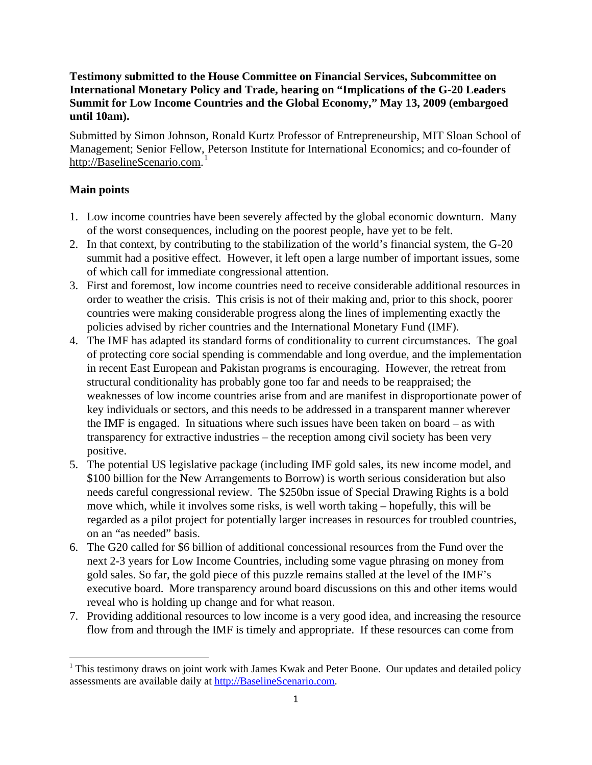### **Testimony submitted to the House Committee on Financial Services, Subcommittee on International Monetary Policy and Trade, hearing on "Implications of the G-20 Leaders Summit for Low Income Countries and the Global Economy," May 13, 2009 (embargoed until 10am).**

Submitted by Simon Johnson, Ronald Kurtz Professor of Entrepreneurship, MIT Sloan School of Management; Senior Fellow, Peterson Institute for International Economics; and co-founder of [http://BaselineScenario.com.](http://baselinescenario.com/)<sup>[1](#page-0-0)</sup>

### **Main points**

- 1. Low income countries have been severely affected by the global economic downturn. Many of the worst consequences, including on the poorest people, have yet to be felt.
- 2. In that context, by contributing to the stabilization of the world's financial system, the G-20 summit had a positive effect. However, it left open a large number of important issues, some of which call for immediate congressional attention.
- 3. First and foremost, low income countries need to receive considerable additional resources in order to weather the crisis. This crisis is not of their making and, prior to this shock, poorer countries were making considerable progress along the lines of implementing exactly the policies advised by richer countries and the International Monetary Fund (IMF).
- 4. The IMF has adapted its standard forms of conditionality to current circumstances. The goal of protecting core social spending is commendable and long overdue, and the implementation in recent East European and Pakistan programs is encouraging. However, the retreat from structural conditionality has probably gone too far and needs to be reappraised; the weaknesses of low income countries arise from and are manifest in disproportionate power of key individuals or sectors, and this needs to be addressed in a transparent manner wherever the IMF is engaged. In situations where such issues have been taken on board – as with transparency for extractive industries – the reception among civil society has been very positive.
- 5. The potential US legislative package (including IMF gold sales, its new income model, and \$100 billion for the New Arrangements to Borrow) is worth serious consideration but also needs careful congressional review. The \$250bn issue of Special Drawing Rights is a bold move which, while it involves some risks, is well worth taking – hopefully, this will be regarded as a pilot project for potentially larger increases in resources for troubled countries, on an "as needed" basis.
- 6. The G20 called for \$6 billion of additional concessional resources from the Fund over the next 2-3 years for Low Income Countries, including some vague phrasing on money from gold sales. So far, the gold piece of this puzzle remains stalled at the level of the IMF's executive board. More transparency around board discussions on this and other items would reveal who is holding up change and for what reason.
- 7. Providing additional resources to low income is a very good idea, and increasing the resource flow from and through the IMF is timely and appropriate. If these resources can come from

<span id="page-0-0"></span><sup>&</sup>lt;sup>1</sup> This testimony draws on joint work with James Kwak and Peter Boone. Our updates and detailed policy assessments are available daily at [http://BaselineScenario.com](http://baselinescenario.com/).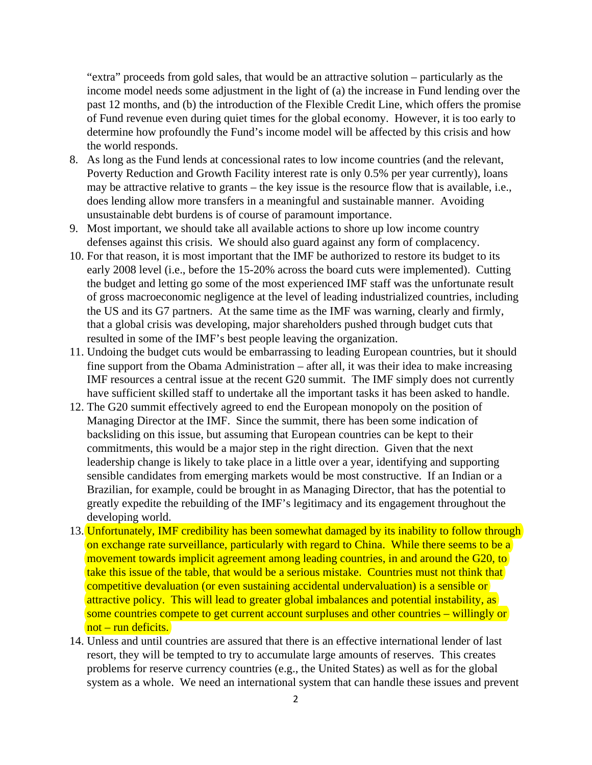"extra" proceeds from gold sales, that would be an attractive solution – particularly as the income model needs some adjustment in the light of (a) the increase in Fund lending over the past 12 months, and (b) the introduction of the Flexible Credit Line, which offers the promise of Fund revenue even during quiet times for the global economy. However, it is too early to determine how profoundly the Fund's income model will be affected by this crisis and how the world responds.

- 8. As long as the Fund lends at concessional rates to low income countries (and the relevant, Poverty Reduction and Growth Facility interest rate is only 0.5% per year currently), loans may be attractive relative to grants – the key issue is the resource flow that is available, i.e., does lending allow more transfers in a meaningful and sustainable manner. Avoiding unsustainable debt burdens is of course of paramount importance.
- 9. Most important, we should take all available actions to shore up low income country defenses against this crisis. We should also guard against any form of complacency.
- 10. For that reason, it is most important that the IMF be authorized to restore its budget to its early 2008 level (i.e., before the 15-20% across the board cuts were implemented). Cutting the budget and letting go some of the most experienced IMF staff was the unfortunate result of gross macroeconomic negligence at the level of leading industrialized countries, including the US and its G7 partners. At the same time as the IMF was warning, clearly and firmly, that a global crisis was developing, major shareholders pushed through budget cuts that resulted in some of the IMF's best people leaving the organization.
- 11. Undoing the budget cuts would be embarrassing to leading European countries, but it should fine support from the Obama Administration – after all, it was their idea to make increasing IMF resources a central issue at the recent G20 summit. The IMF simply does not currently have sufficient skilled staff to undertake all the important tasks it has been asked to handle.
- 12. The G20 summit effectively agreed to end the European monopoly on the position of Managing Director at the IMF. Since the summit, there has been some indication of backsliding on this issue, but assuming that European countries can be kept to their commitments, this would be a major step in the right direction. Given that the next leadership change is likely to take place in a little over a year, identifying and supporting sensible candidates from emerging markets would be most constructive. If an Indian or a Brazilian, for example, could be brought in as Managing Director, that has the potential to greatly expedite the rebuilding of the IMF's legitimacy and its engagement throughout the developing world.
- 13. Unfortunately, IMF credibility has been somewhat damaged by its inability to follow through on exchange rate surveillance, particularly with regard to China. While there seems to be a movement towards implicit agreement among leading countries, in and around the G20, to take this issue of the table, that would be a serious mistake. Countries must not think that competitive devaluation (or even sustaining accidental undervaluation) is a sensible or attractive policy. This will lead to greater global imbalances and potential instability, as some countries compete to get current account surpluses and other countries – willingly or not – run deficits.
- 14. Unless and until countries are assured that there is an effective international lender of last resort, they will be tempted to try to accumulate large amounts of reserves. This creates problems for reserve currency countries (e.g., the United States) as well as for the global system as a whole. We need an international system that can handle these issues and prevent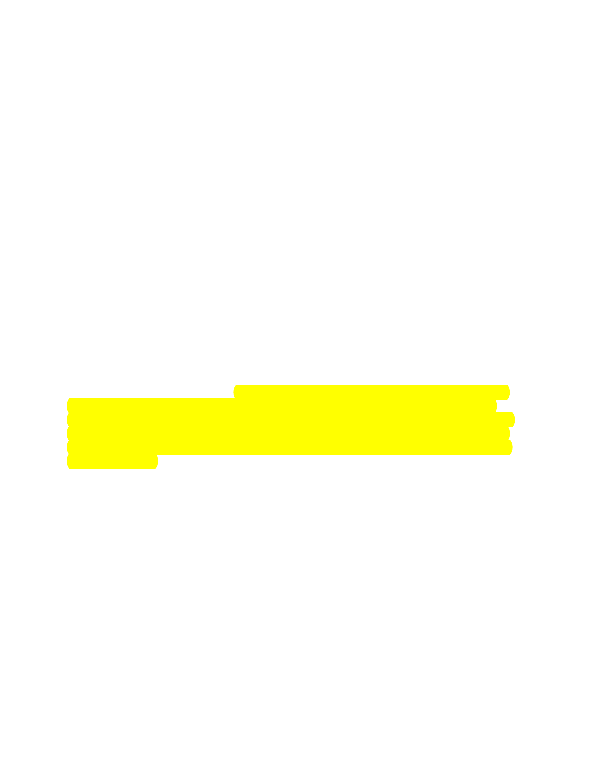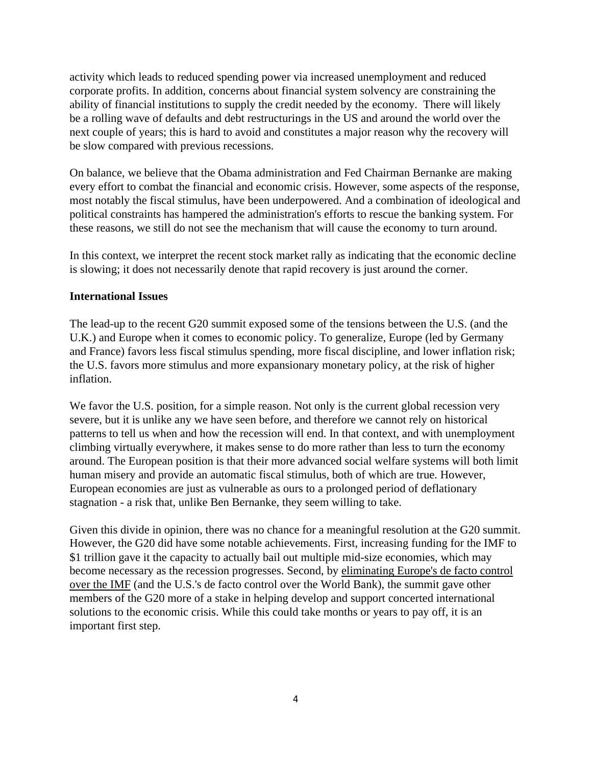activity which leads to reduced spending power via increased unemployment and reduced corporate profits. In addition, concerns about financial system solvency are constraining the ability of financial institutions to supply the credit needed by the economy. There will likely be a rolling wave of defaults and debt restructurings in the US and around the world over the next couple of years; this is hard to avoid and constitutes a major reason why the recovery will be slow compared with previous recessions.

On balance, we believe that the Obama administration and Fed Chairman Bernanke are making every effort to combat the financial and economic crisis. However, some aspects of the response, most notably the fiscal stimulus, have been underpowered. And a combination of ideological and political constraints has hampered the administration's efforts to rescue the banking system. For these reasons, we still do not see the mechanism that will cause the economy to turn around.

In this context, we interpret the recent stock market rally as indicating that the economic decline is slowing; it does not necessarily denote that rapid recovery is just around the corner.

#### **International Issues**

The lead-up to the recent G20 summit exposed some of the tensions between the U.S. (and the U.K.) and Europe when it comes to economic policy. To generalize, Europe (led by Germany and France) favors less fiscal stimulus spending, more fiscal discipline, and lower inflation risk; the U.S. favors more stimulus and more expansionary monetary policy, at the risk of higher inflation.

We favor the U.S. position, for a simple reason. Not only is the current global recession very severe, but it is unlike any we have seen before, and therefore we cannot rely on historical patterns to tell us when and how the recession will end. In that context, and with unemployment climbing virtually everywhere, it makes sense to do more rather than less to turn the economy around. The European position is that their more advanced social welfare systems will both limit human misery and provide an automatic fiscal stimulus, both of which are true. However, European economies are just as vulnerable as ours to a prolonged period of deflationary stagnation - a risk that, unlike Ben Bernanke, they seem willing to take.

Given this divide in opinion, there was no chance for a meaningful resolution at the G20 summit. However, the G20 did have some notable achievements. First, increasing funding for the IMF to \$1 trillion gave it the capacity to actually bail out multiple mid-size economies, which may become necessary as the recession progresses. Second, by [eliminating Europe's de facto control](http://economix.blogs.nytimes.com/2009/04/03/why-the-g-20-was-a-success-obamas-initiative/)  [over the IMF](http://economix.blogs.nytimes.com/2009/04/03/why-the-g-20-was-a-success-obamas-initiative/) (and the U.S.'s de facto control over the World Bank), the summit gave other members of the G20 more of a stake in helping develop and support concerted international solutions to the economic crisis. While this could take months or years to pay off, it is an important first step.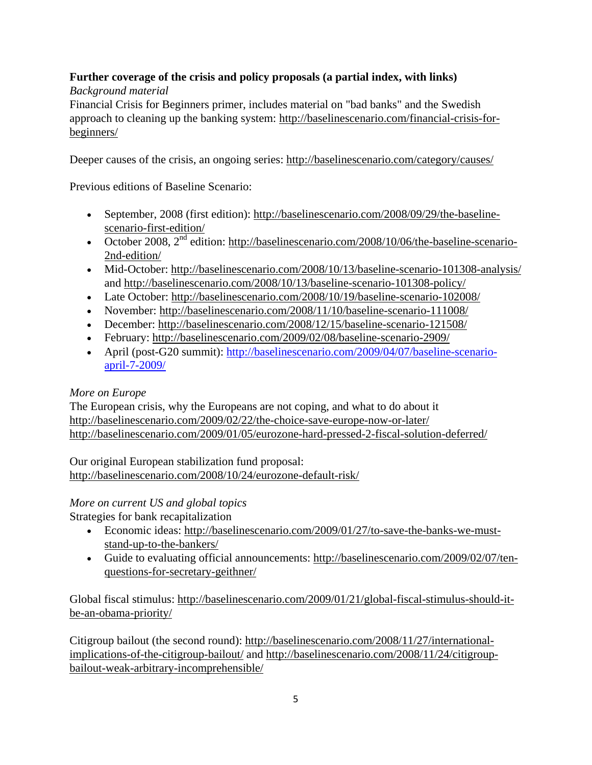# **Further coverage of the crisis and policy proposals (a partial index, with links)**

*Background material*

Financial Crisis for Beginners primer, includes material on "bad banks" and the Swedish approach to cleaning up the banking system: [http://baselinescenario.com/financial-crisis-for](http://baselinescenario.com/financial-crisis-for-beginners/)[beginners/](http://baselinescenario.com/financial-crisis-for-beginners/)

Deeper causes of the crisis, an ongoing series:<http://baselinescenario.com/category/causes/>

Previous editions of Baseline Scenario:

- September, 2008 (first edition): [http://baselinescenario.com/2008/09/29/the-baseline](http://baselinescenario.com/2008/09/29/the-baseline-scenario-first-edition/)[scenario-first-edition/](http://baselinescenario.com/2008/09/29/the-baseline-scenario-first-edition/)
- October 2008,  $2<sup>nd</sup>$  edition: [http://baselinescenario.com/2008/10/06/the-baseline-scenario-](http://baselinescenario.com/2008/10/06/the-baseline-scenario-2nd-edition/)[2nd-edition/](http://baselinescenario.com/2008/10/06/the-baseline-scenario-2nd-edition/)
- Mid-October:<http://baselinescenario.com/2008/10/13/baseline-scenario-101308-analysis/> and<http://baselinescenario.com/2008/10/13/baseline-scenario-101308-policy/>
- Late October:<http://baselinescenario.com/2008/10/19/baseline-scenario-102008/>
- November:<http://baselinescenario.com/2008/11/10/baseline-scenario-111008/>
- December: <http://baselinescenario.com/2008/12/15/baseline-scenario-121508/>
- February: <http://baselinescenario.com/2009/02/08/baseline-scenario-2909/>
- April (post-G20 summit): [http://baselinescenario.com/2009/04/07/baseline-scenario](http://baselinescenario.com/2009/04/07/baseline-scenario-april-7-2009/)[april-7-2009/](http://baselinescenario.com/2009/04/07/baseline-scenario-april-7-2009/)

## *More on Europe*

The European crisis, why the Europeans are not coping, and what to do about it <http://baselinescenario.com/2009/02/22/the-choice-save-europe-now-or-later/> <http://baselinescenario.com/2009/01/05/eurozone-hard-pressed-2-fiscal-solution-deferred/>

Our original European stabilization fund proposal: <http://baselinescenario.com/2008/10/24/eurozone-default-risk/>

## *More on current US and global topics*

Strategies for bank recapitalization

- Economic ideas: [http://baselinescenario.com/2009/01/27/to-save-the-banks-we-must](http://baselinescenario.com/2009/01/27/to-save-the-banks-we-must-stand-up-to-the-bankers/)[stand-up-to-the-bankers/](http://baselinescenario.com/2009/01/27/to-save-the-banks-we-must-stand-up-to-the-bankers/)
- Guide to evaluating official announcements: [http://baselinescenario.com/2009/02/07/ten](http://baselinescenario.com/2009/02/07/ten-questions-for-secretary-geithner/)[questions-for-secretary-geithner/](http://baselinescenario.com/2009/02/07/ten-questions-for-secretary-geithner/)

Global fiscal stimulus: [http://baselinescenario.com/2009/01/21/global-fiscal-stimulus-should-it](http://baselinescenario.com/2009/01/21/global-fiscal-stimulus-should-it-be-an-obama-priority/)[be-an-obama-priority/](http://baselinescenario.com/2009/01/21/global-fiscal-stimulus-should-it-be-an-obama-priority/)

Citigroup bailout (the second round): [http://baselinescenario.com/2008/11/27/international](http://baselinescenario.com/2008/11/27/international-implications-of-the-citigroup-bailout/)[implications-of-the-citigroup-bailout/](http://baselinescenario.com/2008/11/27/international-implications-of-the-citigroup-bailout/) and [http://baselinescenario.com/2008/11/24/citigroup](http://baselinescenario.com/2008/11/24/citigroup-bailout-weak-arbitrary-incomprehensible/)[bailout-weak-arbitrary-incomprehensible/](http://baselinescenario.com/2008/11/24/citigroup-bailout-weak-arbitrary-incomprehensible/)